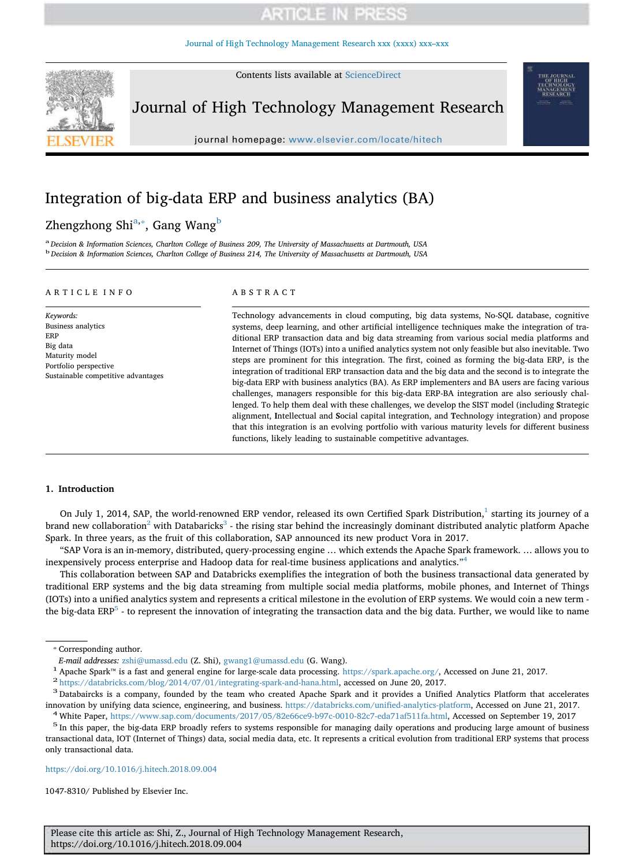#### [Journal of High Technology Management Research xxx \(xxxx\) xxx–xxx](https://doi.org/10.1016/j.hitech.2018.09.004)

Contents lists available at [ScienceDirect](http://www.sciencedirect.com/science/journal/10478310)



Journal of High Technology Management Research

journal homepage: [www.elsevier.com/locate/hitech](https://www.elsevier.com/locate/hitech)

# Integration of big-data ERP and business analytics (BA)

# Zhengzhong Shi<sup>[a](#page-0-0),\*</sup>, Gang Wang<sup>[b](#page-0-2)</sup>

<span id="page-0-2"></span><span id="page-0-0"></span><sup>a</sup>*Decision & Information Sciences, Charlton College of Business 209, The University of Massachusetts at Dartmouth, USA* <sup>b</sup>*Decision & Information Sciences, Charlton College of Business 214, The University of Massachusetts at Dartmouth, USA*

## ARTICLE INFO

*Keywords:* Business analytics ERP Big data Maturity model Portfolio perspective Sustainable competitive advantages

#### ABSTRACT

Technology advancements in cloud computing, big data systems, No-SQL database, cognitive systems, deep learning, and other artificial intelligence techniques make the integration of traditional ERP transaction data and big data streaming from various social media platforms and Internet of Things (IOTs) into a unified analytics system not only feasible but also inevitable. Two steps are prominent for this integration. The first, coined as forming the big-data ERP, is the integration of traditional ERP transaction data and the big data and the second is to integrate the big-data ERP with business analytics (BA). As ERP implementers and BA users are facing various challenges, managers responsible for this big-data ERP-BA integration are also seriously challenged. To help them deal with these challenges, we develop the SIST model (including **S**trategic alignment, **I**ntellectual and **S**ocial capital integration, and **T**echnology integration) and propose that this integration is an evolving portfolio with various maturity levels for different business functions, likely leading to sustainable competitive advantages.

### **1. Introduction**

On July 1, 2014, SAP, the world-renowned ERP vendor, released its own Certified Spark Distribution,<sup>1</sup> starting its journey of a brand new collaboration<sup>[2](#page-0-4)</sup> with Databaricks<sup>3</sup> - the rising star behind the increasingly dominant distributed analytic platform Apache Spark. In three years, as the fruit of this collaboration, SAP announced its new product Vora in 2017.

"SAP Vora is an in-memory, distributed, query-processing engine … which extends the Apache Spark framework. … allows you to inexpensively process enterprise and Hadoop data for real-time business applications and analytics."[4](#page-0-6)

This collaboration between SAP and Databricks exemplifies the integration of both the business transactional data generated by traditional ERP systems and the big data streaming from multiple social media platforms, mobile phones, and Internet of Things (IOTs) into a unified analytics system and represents a critical milestone in the evolution of ERP systems. We would coin a new term the big-data  $ERP<sup>5</sup>$  - to represent the innovation of integrating the transaction data and the big data. Further, we would like to name

<span id="page-0-7"></span>transactional data, IOT (Internet of Things) data, social media data, etc. It represents a critical evolution from traditional ERP systems that process only transactional data.

<https://doi.org/10.1016/j.hitech.2018.09.004>

1047-8310/ Published by Elsevier Inc.

<span id="page-0-1"></span><sup>⁎</sup> Corresponding author.

<span id="page-0-5"></span><span id="page-0-4"></span>

<span id="page-0-3"></span>*E-mail addresses: [zshi@umassd.edu](mailto:zshi@umassd.edu) (Z. Shi), [gwang1@umassd.edu](mailto:gwang1@umassd.edu) (G. Wang).*<br><sup>1</sup> Apache Spark<sup>™</sup> is a fast and general engine for large-scale data processing. <https://spark.apache.org/>, Accessed on June 21, 2017.<br><sup>2</sup> https

<span id="page-0-6"></span>innovation by unifying data science, engineering, and business. [https://databricks.com/unified-analytics-platform,](https://databricks.com/unified-analytics-platform) Accessed on June 21, 2017.<br><sup>4</sup> White Paper, https://www.sap.com/documents/2017/05/82e66ce9-b97c-0010-82c7-e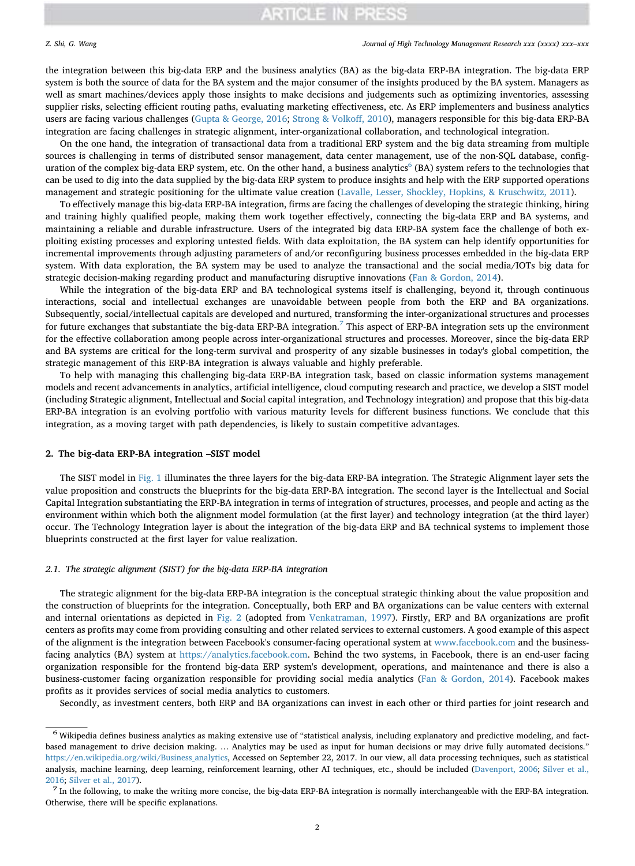## *Z. Shi, G. Wang Journal of High Technology Management Research xxx (xxxx) xxx–xxx*

the integration between this big-data ERP and the business analytics (BA) as the big-data ERP-BA integration. The big-data ERP system is both the source of data for the BA system and the major consumer of the insights produced by the BA system. Managers as well as smart machines/devices apply those insights to make decisions and judgements such as optimizing inventories, assessing supplier risks, selecting efficient routing paths, evaluating marketing effectiveness, etc. As ERP implementers and business analytics users are facing various challenges [\(Gupta & George, 2016](#page-8-0); [Strong & Volkoff, 2010\)](#page-9-0), managers responsible for this big-data ERP-BA integration are facing challenges in strategic alignment, inter-organizational collaboration, and technological integration.

On the one hand, the integration of transactional data from a traditional ERP system and the big data streaming from multiple sources is challenging in terms of distributed sensor management, data center management, use of the non-SQL database, config-uration of the complex big-data ERP system, etc. On the other hand, a business analytics<sup>[6](#page-1-0)</sup> (BA) system refers to the technologies that can be used to dig into the data supplied by the big-data ERP system to produce insights and help with the ERP supported operations management and strategic positioning for the ultimate value creation [\(Lavalle, Lesser, Shockley, Hopkins, & Kruschwitz, 2011\)](#page-8-1).

To effectively manage this big-data ERP-BA integration, firms are facing the challenges of developing the strategic thinking, hiring and training highly qualified people, making them work together effectively, connecting the big-data ERP and BA systems, and maintaining a reliable and durable infrastructure. Users of the integrated big data ERP-BA system face the challenge of both exploiting existing processes and exploring untested fields. With data exploitation, the BA system can help identify opportunities for incremental improvements through adjusting parameters of and/or reconfiguring business processes embedded in the big-data ERP system. With data exploration, the BA system may be used to analyze the transactional and the social media/IOTs big data for strategic decision-making regarding product and manufacturing disruptive innovations ([Fan & Gordon, 2014\)](#page-8-2).

While the integration of the big-data ERP and BA technological systems itself is challenging, beyond it, through continuous interactions, social and intellectual exchanges are unavoidable between people from both the ERP and BA organizations. Subsequently, social/intellectual capitals are developed and nurtured, transforming the inter-organizational structures and processes for future exchanges that substantiate the big-data ERP-BA integration.<sup>7</sup> This aspect of ERP-BA integration sets up the environment for the effective collaboration among people across inter-organizational structures and processes. Moreover, since the big-data ERP and BA systems are critical for the long-term survival and prosperity of any sizable businesses in today's global competition, the strategic management of this ERP-BA integration is always valuable and highly preferable.

To help with managing this challenging big-data ERP-BA integration task, based on classic information systems management models and recent advancements in analytics, artificial intelligence, cloud computing research and practice, we develop a SIST model (including **S**trategic alignment, **I**ntellectual and **S**ocial capital integration, and **T**echnology integration) and propose that this big-data ERP-BA integration is an evolving portfolio with various maturity levels for different business functions. We conclude that this integration, as a moving target with path dependencies, is likely to sustain competitive advantages.

#### **2. The big-data ERP-BA integration –SIST model**

The SIST model in [Fig. 1](#page-2-0) illuminates the three layers for the big-data ERP-BA integration. The Strategic Alignment layer sets the value proposition and constructs the blueprints for the big-data ERP-BA integration. The second layer is the Intellectual and Social Capital Integration substantiating the ERP-BA integration in terms of integration of structures, processes, and people and acting as the environment within which both the alignment model formulation (at the first layer) and technology integration (at the third layer) occur. The Technology Integration layer is about the integration of the big-data ERP and BA technical systems to implement those blueprints constructed at the first layer for value realization.

## *2.1. The strategic alignment (SIST) for the big-data ERP-BA integration*

The strategic alignment for the big-data ERP-BA integration is the conceptual strategic thinking about the value proposition and the construction of blueprints for the integration. Conceptually, both ERP and BA organizations can be value centers with external and internal orientations as depicted in [Fig. 2](#page-2-1) (adopted from [Venkatraman, 1997](#page-9-1)). Firstly, ERP and BA organizations are profit centers as profits may come from providing consulting and other related services to external customers. A good example of this aspect of the alignment is the integration between Facebook's consumer-facing operational system at [www.facebook.com](http://www.facebook.com) and the businessfacing analytics (BA) system at [https://analytics.facebook.com.](https://analytics.facebook.com) Behind the two systems, in Facebook, there is an end-user facing organization responsible for the frontend big-data ERP system's development, operations, and maintenance and there is also a business-customer facing organization responsible for providing social media analytics [\(Fan & Gordon, 2014](#page-8-2)). Facebook makes profits as it provides services of social media analytics to customers.

Secondly, as investment centers, both ERP and BA organizations can invest in each other or third parties for joint research and

<span id="page-1-0"></span><sup>6</sup> Wikipedia defines business analytics as making extensive use of "statistical analysis, including explanatory and predictive modeling, and factbased management to drive decision making. … Analytics may be used as input for human decisions or may drive fully automated decisions." [https://en.wikipedia.org/wiki/Business\\_analytics](https://en.wikipedia.org/wiki/Business_analytics), Accessed on September 22, 2017. In our view, all data processing techniques, such as statistical analysis, machine learning, deep learning, reinforcement learning, other AI techniques, etc., should be included [\(Davenport, 2006](#page-8-3); [Silver et al.,](#page-9-2) [2016](#page-9-2); [Silver et al., 2017\)](#page-9-3).<br><sup>7</sup> In the following, to make the writing more concise, the big-data ERP-BA integration is normally interchangeable with the ERP-BA integration.

<span id="page-1-1"></span>Otherwise, there will be specific explanations.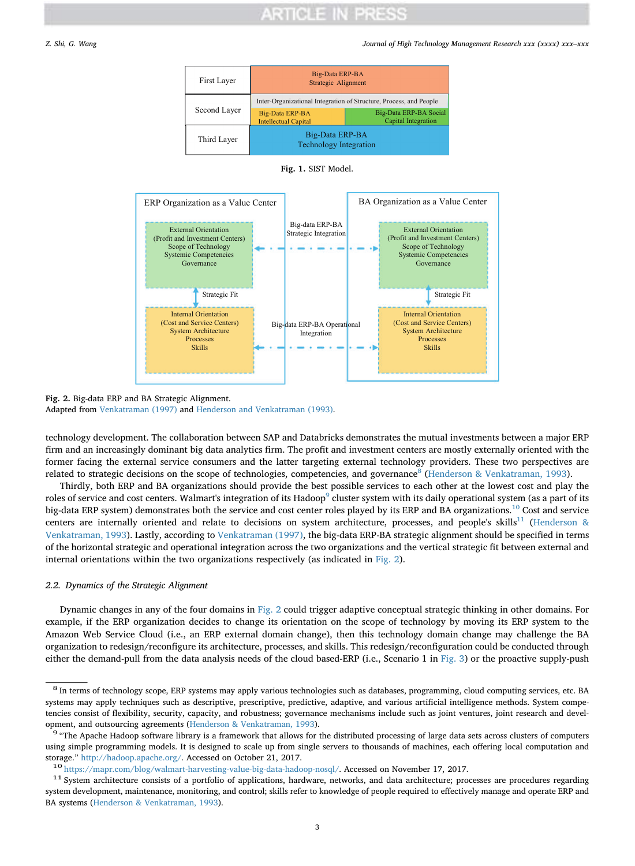#### <span id="page-2-0"></span>*Z. Shi, G. Wang Journal of High Technology Management Research xxx (xxxx) xxx–xxx*

| First Layer  | <b>Big-Data ERP-BA</b><br>Strategic Alignment                      |                                                             |
|--------------|--------------------------------------------------------------------|-------------------------------------------------------------|
|              | Inter-Organizational Integration of Structure, Process, and People |                                                             |
| Second Layer | <b>Big-Data ERP-BA</b><br><b>Intellectual Capital</b>              | <b>Big-Data ERP-BA Social</b><br><b>Capital Integration</b> |
| Third Layer  | Big-Data ERP-BA<br><b>Technology Integration</b>                   |                                                             |

#### **Fig. 1.** SIST Model.

<span id="page-2-1"></span>

**Fig. 2.** Big-data ERP and BA Strategic Alignment.

Adapted from [Venkatraman \(1997\)](#page-9-1) and [Henderson and Venkatraman \(1993\).](#page-8-4)

technology development. The collaboration between SAP and Databricks demonstrates the mutual investments between a major ERP firm and an increasingly dominant big data analytics firm. The profit and investment centers are mostly externally oriented with the former facing the external service consumers and the latter targeting external technology providers. These two perspectives are related to strategic decisions on the scope of technologies, competencies, and governance<sup>8</sup> [\(Henderson & Venkatraman, 1993](#page-8-4)).

Thirdly, both ERP and BA organizations should provide the best possible services to each other at the lowest cost and play the roles of service and cost centers. Walmart's integration of its Hadoop<sup>9</sup> cluster system with its daily operational system (as a part of its big-data ERP system) demonstrates both the service and cost center roles played by its ERP and BA organizations.<sup>[10](#page-2-4)</sup> Cost and service centers are internally oriented and relate to decisions on system architecture, processes, and people's skills<sup>11</sup> (Henderson  $\&$ [Venkatraman, 1993\)](#page-8-4). Lastly, according to [Venkatraman \(1997\),](#page-9-1) the big-data ERP-BA strategic alignment should be specified in terms of the horizontal strategic and operational integration across the two organizations and the vertical strategic fit between external and internal orientations within the two organizations respectively (as indicated in [Fig. 2](#page-2-1)).

## *2.2. Dynamics of the Strategic Alignment*

Dynamic changes in any of the four domains in [Fig. 2](#page-2-1) could trigger adaptive conceptual strategic thinking in other domains. For example, if the ERP organization decides to change its orientation on the scope of technology by moving its ERP system to the Amazon Web Service Cloud (i.e., an ERP external domain change), then this technology domain change may challenge the BA organization to redesign/reconfigure its architecture, processes, and skills. This redesign/reconfiguration could be conducted through either the demand-pull from the data analysis needs of the cloud based-ERP (i.e., Scenario 1 in [Fig. 3](#page-3-0)) or the proactive supply-push

<span id="page-2-2"></span><sup>8</sup> In terms of technology scope, ERP systems may apply various technologies such as databases, programming, cloud computing services, etc. BA systems may apply techniques such as descriptive, prescriptive, predictive, adaptive, and various artificial intelligence methods. System competencies consist of flexibility, security, capacity, and robustness; governance mechanisms include such as joint ventures, joint research and devel-opment, and outsourcing agreements ([Henderson & Venkatraman, 1993\)](#page-8-4).<br><sup>9</sup> "The Apache Hadoop software library is a framework that allows for the distributed processing of large data sets across clusters of computers

<span id="page-2-3"></span>using simple programming models. It is designed to scale up from single servers to thousands of machines, each offering local computation and storage." [http://hadoop.apache.org/.](http://hadoop.apache.org/) Accessed on October 21, 2017.<br><sup>10</sup> [https://mapr.com/blog/walmart-harvesting-value-big-data-hadoop-nosql/.](https://mapr.com/blog/walmart-harvesting-value-big-data-hadoop-nosql/) Accessed on November 17, 2017.<br><sup>11</sup> System architecture consists of a portfoli

<span id="page-2-4"></span>

<span id="page-2-5"></span>system development, maintenance, monitoring, and control; skills refer to knowledge of people required to effectively manage and operate ERP and BA systems [\(Henderson & Venkatraman, 1993](#page-8-4)).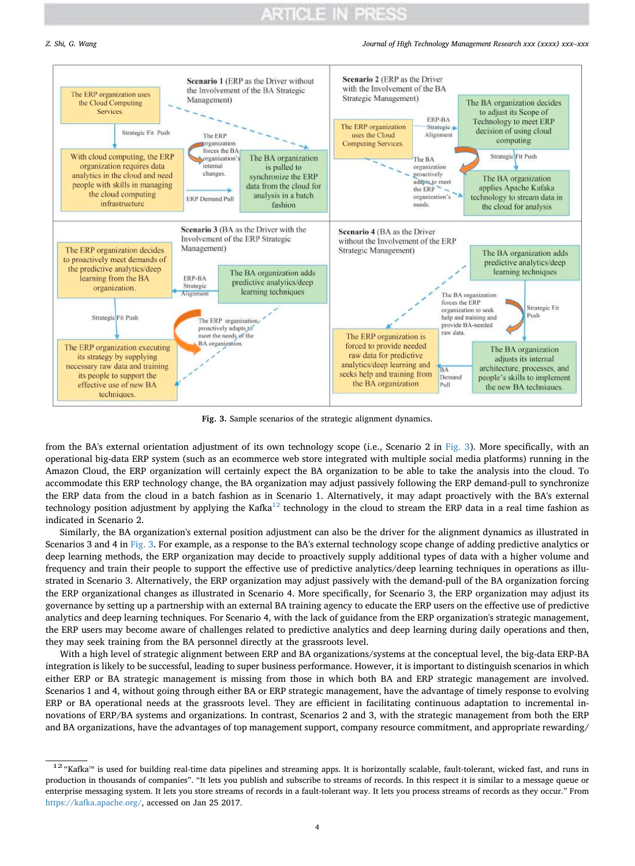<span id="page-3-0"></span>

**Fig. 3.** Sample scenarios of the strategic alignment dynamics.

from the BA's external orientation adjustment of its own technology scope (i.e., Scenario 2 in [Fig. 3\)](#page-3-0). More specifically, with an operational big-data ERP system (such as an ecommerce web store integrated with multiple social media platforms) running in the Amazon Cloud, the ERP organization will certainly expect the BA organization to be able to take the analysis into the cloud. To accommodate this ERP technology change, the BA organization may adjust passively following the ERP demand-pull to synchronize the ERP data from the cloud in a batch fashion as in Scenario 1. Alternatively, it may adapt proactively with the BA's external technology position adjustment by applying the Kafka<sup>[12](#page-3-1)</sup> technology in the cloud to stream the ERP data in a real time fashion as indicated in Scenario 2.

Similarly, the BA organization's external position adjustment can also be the driver for the alignment dynamics as illustrated in Scenarios 3 and 4 in [Fig. 3.](#page-3-0) For example, as a response to the BA's external technology scope change of adding predictive analytics or deep learning methods, the ERP organization may decide to proactively supply additional types of data with a higher volume and frequency and train their people to support the effective use of predictive analytics/deep learning techniques in operations as illustrated in Scenario 3. Alternatively, the ERP organization may adjust passively with the demand-pull of the BA organization forcing the ERP organizational changes as illustrated in Scenario 4. More specifically, for Scenario 3, the ERP organization may adjust its governance by setting up a partnership with an external BA training agency to educate the ERP users on the effective use of predictive analytics and deep learning techniques. For Scenario 4, with the lack of guidance from the ERP organization's strategic management, the ERP users may become aware of challenges related to predictive analytics and deep learning during daily operations and then, they may seek training from the BA personnel directly at the grassroots level.

With a high level of strategic alignment between ERP and BA organizations/systems at the conceptual level, the big-data ERP-BA integration is likely to be successful, leading to super business performance. However, it is important to distinguish scenarios in which either ERP or BA strategic management is missing from those in which both BA and ERP strategic management are involved. Scenarios 1 and 4, without going through either BA or ERP strategic management, have the advantage of timely response to evolving ERP or BA operational needs at the grassroots level. They are efficient in facilitating continuous adaptation to incremental innovations of ERP/BA systems and organizations. In contrast, Scenarios 2 and 3, with the strategic management from both the ERP and BA organizations, have the advantages of top management support, company resource commitment, and appropriate rewarding/

<span id="page-3-1"></span><sup>12</sup> "Kafka™ is used for building real-time data pipelines and streaming apps. It is horizontally scalable, fault-tolerant, wicked fast, and runs in production in thousands of companies". "It lets you publish and subscribe to streams of records. In this respect it is similar to a message queue or enterprise messaging system. It lets you store streams of records in a fault-tolerant way. It lets you process streams of records as they occur." From <https://kafka.apache.org/>, accessed on Jan 25 2017.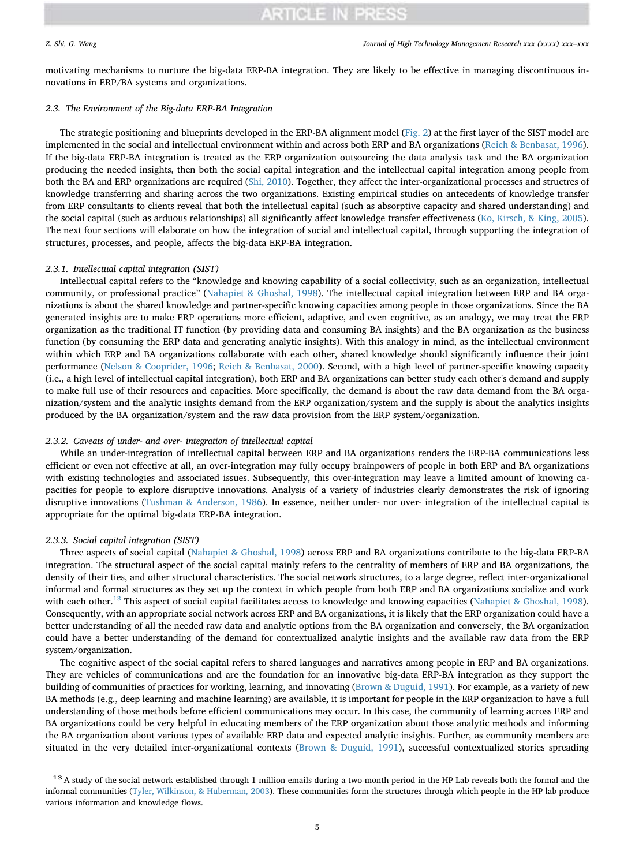motivating mechanisms to nurture the big-data ERP-BA integration. They are likely to be effective in managing discontinuous innovations in ERP/BA systems and organizations.

## *2.3. The Environment of the Big-data ERP-BA Integration*

The strategic positioning and blueprints developed in the ERP-BA alignment model [\(Fig. 2](#page-2-1)) at the first layer of the SIST model are implemented in the social and intellectual environment within and across both ERP and BA organizations [\(Reich & Benbasat, 1996](#page-8-5)). If the big-data ERP-BA integration is treated as the ERP organization outsourcing the data analysis task and the BA organization producing the needed insights, then both the social capital integration and the intellectual capital integration among people from both the BA and ERP organizations are required [\(Shi, 2010\)](#page-8-6). Together, they affect the inter-organizational processes and structres of knowledge transferring and sharing across the two organizations. Existing empirical studies on antecedents of knowledge transfer from ERP consultants to clients reveal that both the intellectual capital (such as absorptive capacity and shared understanding) and the social capital (such as arduous relationships) all significantly affect knowledge transfer effectiveness ([Ko, Kirsch, & King, 2005](#page-8-7)). The next four sections will elaborate on how the integration of social and intellectual capital, through supporting the integration of structures, processes, and people, affects the big-data ERP-BA integration.

#### *2.3.1. Intellectual capital integration (SIST)*

Intellectual capital refers to the "knowledge and knowing capability of a social collectivity, such as an organization, intellectual community, or professional practice" ([Nahapiet & Ghoshal, 1998\)](#page-8-8). The intellectual capital integration between ERP and BA organizations is about the shared knowledge and partner-specific knowing capacities among people in those organizations. Since the BA generated insights are to make ERP operations more efficient, adaptive, and even cognitive, as an analogy, we may treat the ERP organization as the traditional IT function (by providing data and consuming BA insights) and the BA organization as the business function (by consuming the ERP data and generating analytic insights). With this analogy in mind, as the intellectual environment within which ERP and BA organizations collaborate with each other, shared knowledge should significantly influence their joint performance [\(Nelson & Cooprider, 1996;](#page-8-9) [Reich & Benbasat, 2000](#page-8-10)). Second, with a high level of partner-specific knowing capacity (i.e., a high level of intellectual capital integration), both ERP and BA organizations can better study each other's demand and supply to make full use of their resources and capacities. More specifically, the demand is about the raw data demand from the BA organization/system and the analytic insights demand from the ERP organization/system and the supply is about the analytics insights produced by the BA organization/system and the raw data provision from the ERP system/organization.

#### *2.3.2. Caveats of under- and over- integration of intellectual capital*

While an under-integration of intellectual capital between ERP and BA organizations renders the ERP-BA communications less efficient or even not effective at all, an over-integration may fully occupy brainpowers of people in both ERP and BA organizations with existing technologies and associated issues. Subsequently, this over-integration may leave a limited amount of knowing capacities for people to explore disruptive innovations. Analysis of a variety of industries clearly demonstrates the risk of ignoring disruptive innovations [\(Tushman & Anderson, 1986\)](#page-9-4). In essence, neither under- nor over- integration of the intellectual capital is appropriate for the optimal big-data ERP-BA integration.

## *2.3.3. Social capital integration (SIST)*

Three aspects of social capital ([Nahapiet & Ghoshal, 1998](#page-8-8)) across ERP and BA organizations contribute to the big-data ERP-BA integration. The structural aspect of the social capital mainly refers to the centrality of members of ERP and BA organizations, the density of their ties, and other structural characteristics. The social network structures, to a large degree, reflect inter-organizational informal and formal structures as they set up the context in which people from both ERP and BA organizations socialize and work with each other.<sup>13</sup> This aspect of social capital facilitates access to knowledge and knowing capacities [\(Nahapiet & Ghoshal, 1998](#page-8-8)). Consequently, with an appropriate social network across ERP and BA organizations, it is likely that the ERP organization could have a better understanding of all the needed raw data and analytic options from the BA organization and conversely, the BA organization could have a better understanding of the demand for contextualized analytic insights and the available raw data from the ERP system/organization.

The cognitive aspect of the social capital refers to shared languages and narratives among people in ERP and BA organizations. They are vehicles of communications and are the foundation for an innovative big-data ERP-BA integration as they support the building of communities of practices for working, learning, and innovating ([Brown & Duguid, 1991](#page-8-11)). For example, as a variety of new BA methods (e.g., deep learning and machine learning) are available, it is important for people in the ERP organization to have a full understanding of those methods before efficient communications may occur. In this case, the community of learning across ERP and BA organizations could be very helpful in educating members of the ERP organization about those analytic methods and informing the BA organization about various types of available ERP data and expected analytic insights. Further, as community members are situated in the very detailed inter-organizational contexts ([Brown & Duguid, 1991\)](#page-8-11), successful contextualized stories spreading

<span id="page-4-0"></span><sup>&</sup>lt;sup>13</sup> A study of the social network established through 1 million emails during a two-month period in the HP Lab reveals both the formal and the informal communities ([Tyler, Wilkinson, & Huberman, 2003](#page-9-5)). These communities form the structures through which people in the HP lab produce various information and knowledge flows.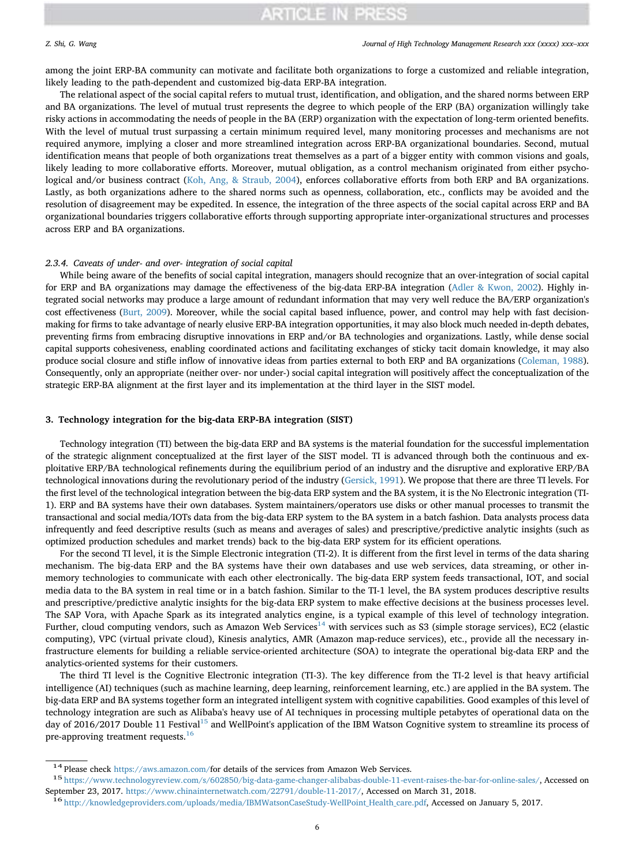*Z. Shi, G. Wang Journal of High Technology Management Research xxx (xxxx) xxx–xxx*

among the joint ERP-BA community can motivate and facilitate both organizations to forge a customized and reliable integration, likely leading to the path-dependent and customized big-data ERP-BA integration.

The relational aspect of the social capital refers to mutual trust, identification, and obligation, and the shared norms between ERP and BA organizations. The level of mutual trust represents the degree to which people of the ERP (BA) organization willingly take risky actions in accommodating the needs of people in the BA (ERP) organization with the expectation of long-term oriented benefits. With the level of mutual trust surpassing a certain minimum required level, many monitoring processes and mechanisms are not required anymore, implying a closer and more streamlined integration across ERP-BA organizational boundaries. Second, mutual identification means that people of both organizations treat themselves as a part of a bigger entity with common visions and goals, likely leading to more collaborative efforts. Moreover, mutual obligation, as a control mechanism originated from either psychological and/or business contract [\(Koh, Ang, & Straub, 2004](#page-8-12)), enforces collaborative efforts from both ERP and BA organizations. Lastly, as both organizations adhere to the shared norms such as openness, collaboration, etc., conflicts may be avoided and the resolution of disagreement may be expedited. In essence, the integration of the three aspects of the social capital across ERP and BA organizational boundaries triggers collaborative efforts through supporting appropriate inter-organizational structures and processes across ERP and BA organizations.

#### *2.3.4. Caveats of under- and over- integration of social capital*

While being aware of the benefits of social capital integration, managers should recognize that an over-integration of social capital for ERP and BA organizations may damage the effectiveness of the big-data ERP-BA integration ([Adler & Kwon, 2002](#page-8-13)). Highly integrated social networks may produce a large amount of redundant information that may very well reduce the BA/ERP organization's cost effectiveness [\(Burt, 2009](#page-8-14)). Moreover, while the social capital based influence, power, and control may help with fast decisionmaking for firms to take advantage of nearly elusive ERP-BA integration opportunities, it may also block much needed in-depth debates, preventing firms from embracing disruptive innovations in ERP and/or BA technologies and organizations. Lastly, while dense social capital supports cohesiveness, enabling coordinated actions and facilitating exchanges of sticky tacit domain knowledge, it may also produce social closure and stifle inflow of innovative ideas from parties external to both ERP and BA organizations [\(Coleman, 1988](#page-8-15)). Consequently, only an appropriate (neither over- nor under-) social capital integration will positively affect the conceptualization of the strategic ERP-BA alignment at the first layer and its implementation at the third layer in the SIST model.

#### **3. Technology integration for the big-data ERP-BA integration (SIST)**

Technology integration (TI) between the big-data ERP and BA systems is the material foundation for the successful implementation of the strategic alignment conceptualized at the first layer of the SIST model. TI is advanced through both the continuous and exploitative ERP/BA technological refinements during the equilibrium period of an industry and the disruptive and explorative ERP/BA technological innovations during the revolutionary period of the industry ([Gersick, 1991\)](#page-8-16). We propose that there are three TI levels. For the first level of the technological integration between the big-data ERP system and the BA system, it is the No Electronic integration (TI-1). ERP and BA systems have their own databases. System maintainers/operators use disks or other manual processes to transmit the transactional and social media/IOTs data from the big-data ERP system to the BA system in a batch fashion. Data analysts process data infrequently and feed descriptive results (such as means and averages of sales) and prescriptive/predictive analytic insights (such as optimized production schedules and market trends) back to the big-data ERP system for its efficient operations.

For the second TI level, it is the Simple Electronic integration (TI-2). It is different from the first level in terms of the data sharing mechanism. The big-data ERP and the BA systems have their own databases and use web services, data streaming, or other inmemory technologies to communicate with each other electronically. The big-data ERP system feeds transactional, IOT, and social media data to the BA system in real time or in a batch fashion. Similar to the TI-1 level, the BA system produces descriptive results and prescriptive/predictive analytic insights for the big-data ERP system to make effective decisions at the business processes level. The SAP Vora, with Apache Spark as its integrated analytics engine, is a typical example of this level of technology integration. Further, cloud computing vendors, such as Amazon Web Services<sup>[14](#page-5-0)</sup> with services such as S3 (simple storage services), EC2 (elastic computing), VPC (virtual private cloud), Kinesis analytics, AMR (Amazon map-reduce services), etc., provide all the necessary infrastructure elements for building a reliable service-oriented architecture (SOA) to integrate the operational big-data ERP and the analytics-oriented systems for their customers.

The third TI level is the Cognitive Electronic integration (TI-3). The key difference from the TI-2 level is that heavy artificial intelligence (AI) techniques (such as machine learning, deep learning, reinforcement learning, etc.) are applied in the BA system. The big-data ERP and BA systems together form an integrated intelligent system with cognitive capabilities. Good examples of this level of technology integration are such as Alibaba's heavy use of AI techniques in processing multiple petabytes of operational data on the day of 2016/2017 Double 11 Festival<sup>[15](#page-5-1)</sup> and WellPoint's application of the IBM Watson Cognitive system to streamline its process of pre-approving treatment requests.<sup>[16](#page-5-2)</sup>

<span id="page-5-1"></span>

<span id="page-5-0"></span><sup>&</sup>lt;sup>14</sup> Please check <https://aws.amazon.com/>for details of the services from Amazon Web Services.<br><sup>15</sup> [https://www.technologyreview.com/s/602850/big-data-game-changer-alibabas-double-11-event-raises-the-bar-for-online-sales/,](https://www.technologyreview.com/s/602850/big-data-game-changer-alibabas-double-11-event-raises-the-bar-for-online-sales/) September 23, 2017. [https://www.chinainternetwatch.com/22791/double-11-2017/,](https://www.chinainternetwatch.com/22791/double-11-2017/) Accessed on March 31, 2018.<br><sup>16</sup> [http://knowledgeproviders.com/uploads/media/IBMWatsonCaseStudy-WellPoint\\_Health\\_care.pdf,](http://knowledgeproviders.com/uploads/media/IBMWatsonCaseStudy-WellPoint_Health_care.pdf) Accessed on January 5

<span id="page-5-2"></span>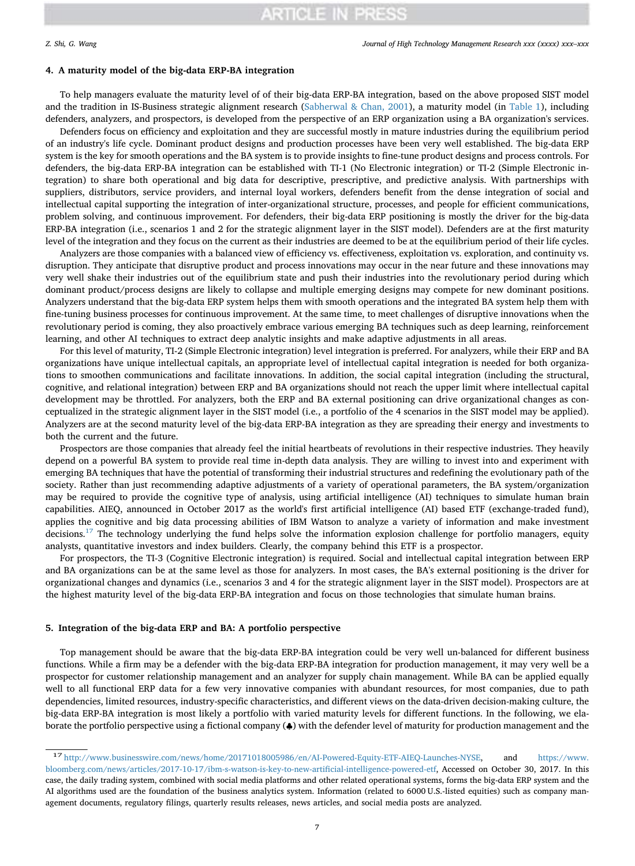## **4. A maturity model of the big-data ERP-BA integration**

To help managers evaluate the maturity level of of their big-data ERP-BA integration, based on the above proposed SIST model and the tradition in IS-Business strategic alignment research [\(Sabherwal & Chan, 2001\)](#page-8-17), a maturity model (in [Table 1\)](#page-7-0), including defenders, analyzers, and prospectors, is developed from the perspective of an ERP organization using a BA organization's services.

Defenders focus on efficiency and exploitation and they are successful mostly in mature industries during the equilibrium period of an industry's life cycle. Dominant product designs and production processes have been very well established. The big-data ERP system is the key for smooth operations and the BA system is to provide insights to fine-tune product designs and process controls. For defenders, the big-data ERP-BA integration can be established with TI-1 (No Electronic integration) or TI-2 (Simple Electronic integration) to share both operational and big data for descriptive, prescriptive, and predictive analysis. With partnerships with suppliers, distributors, service providers, and internal loyal workers, defenders benefit from the dense integration of social and intellectual capital supporting the integration of inter-organizational structure, processes, and people for efficient communications, problem solving, and continuous improvement. For defenders, their big-data ERP positioning is mostly the driver for the big-data ERP-BA integration (i.e., scenarios 1 and 2 for the strategic alignment layer in the SIST model). Defenders are at the first maturity level of the integration and they focus on the current as their industries are deemed to be at the equilibrium period of their life cycles.

Analyzers are those companies with a balanced view of efficiency vs. effectiveness, exploitation vs. exploration, and continuity vs. disruption. They anticipate that disruptive product and process innovations may occur in the near future and these innovations may very well shake their industries out of the equilibrium state and push their industries into the revolutionary period during which dominant product/process designs are likely to collapse and multiple emerging designs may compete for new dominant positions. Analyzers understand that the big-data ERP system helps them with smooth operations and the integrated BA system help them with fine-tuning business processes for continuous improvement. At the same time, to meet challenges of disruptive innovations when the revolutionary period is coming, they also proactively embrace various emerging BA techniques such as deep learning, reinforcement learning, and other AI techniques to extract deep analytic insights and make adaptive adjustments in all areas.

For this level of maturity, TI-2 (Simple Electronic integration) level integration is preferred. For analyzers, while their ERP and BA organizations have unique intellectual capitals, an appropriate level of intellectual capital integration is needed for both organizations to smoothen communications and facilitate innovations. In addition, the social capital integration (including the structural, cognitive, and relational integration) between ERP and BA organizations should not reach the upper limit where intellectual capital development may be throttled. For analyzers, both the ERP and BA external positioning can drive organizational changes as conceptualized in the strategic alignment layer in the SIST model (i.e., a portfolio of the 4 scenarios in the SIST model may be applied). Analyzers are at the second maturity level of the big-data ERP-BA integration as they are spreading their energy and investments to both the current and the future.

Prospectors are those companies that already feel the initial heartbeats of revolutions in their respective industries. They heavily depend on a powerful BA system to provide real time in-depth data analysis. They are willing to invest into and experiment with emerging BA techniques that have the potential of transforming their industrial structures and redefining the evolutionary path of the society. Rather than just recommending adaptive adjustments of a variety of operational parameters, the BA system/organization may be required to provide the cognitive type of analysis, using artificial intelligence (AI) techniques to simulate human brain capabilities. AIEQ, announced in October 2017 as the world's first artificial intelligence (AI) based ETF (exchange-traded fund), applies the cognitive and big data processing abilities of IBM Watson to analyze a variety of information and make investment decisions.<sup>17</sup> The technology underlying the fund helps solve the information explosion challenge for portfolio managers, equity analysts, quantitative investors and index builders. Clearly, the company behind this ETF is a prospector.

For prospectors, the TI-3 (Cognitive Electronic integration) is required. Social and intellectual capital integration between ERP and BA organizations can be at the same level as those for analyzers. In most cases, the BA's external positioning is the driver for organizational changes and dynamics (i.e., scenarios 3 and 4 for the strategic alignment layer in the SIST model). Prospectors are at the highest maturity level of the big-data ERP-BA integration and focus on those technologies that simulate human brains.

#### **5. Integration of the big-data ERP and BA: A portfolio perspective**

Top management should be aware that the big-data ERP-BA integration could be very well un-balanced for different business functions. While a firm may be a defender with the big-data ERP-BA integration for production management, it may very well be a prospector for customer relationship management and an analyzer for supply chain management. While BA can be applied equally well to all functional ERP data for a few very innovative companies with abundant resources, for most companies, due to path dependencies, limited resources, industry-specific characteristics, and different views on the data-driven decision-making culture, the big-data ERP-BA integration is most likely a portfolio with varied maturity levels for different functions. In the following, we elaborate the portfolio perspective using a fictional company (♣) with the defender level of maturity for production management and the

<span id="page-6-0"></span><sup>17</sup> <http://www.businesswire.com/news/home/20171018005986/en/AI-Powered-Equity-ETF-AIEQ-Launches-NYSE>, and [https://www.](https://www.bloomberg.com/news/articles/2017-10-17/ibm-s-watson-is-key-to-new-artificial-intelligence-powered-etf) [bloomberg.com/news/articles/2017-10-17/ibm-s-watson-is-key-to-new-artificial-intelligence-powered-etf](https://www.bloomberg.com/news/articles/2017-10-17/ibm-s-watson-is-key-to-new-artificial-intelligence-powered-etf), Accessed on October 30, 2017. In this case, the daily trading system, combined with social media platforms and other related operational systems, forms the big-data ERP system and the AI algorithms used are the foundation of the business analytics system. Information (related to 6000 U.S.-listed equities) such as company management documents, regulatory filings, quarterly results releases, news articles, and social media posts are analyzed.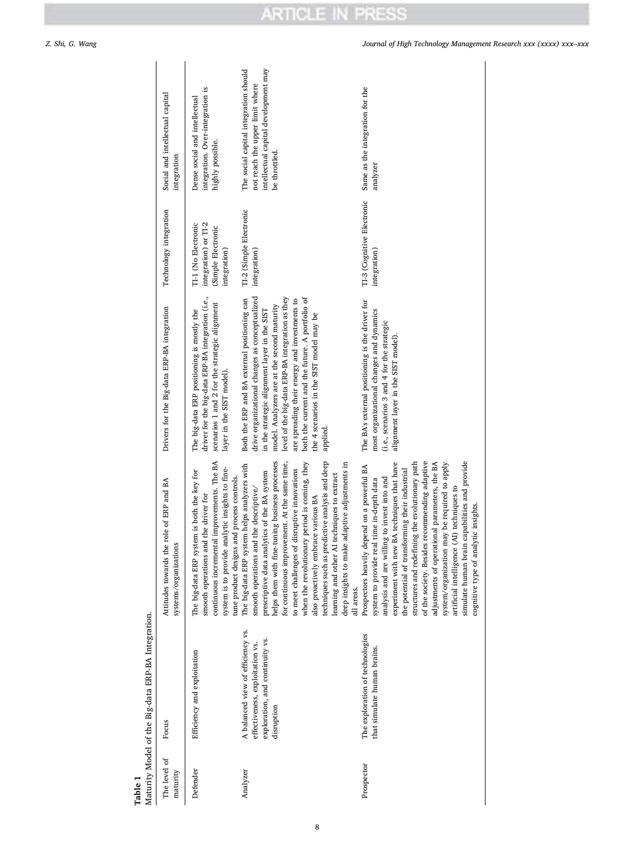<span id="page-7-0"></span>

| Table 1                  | Maturity Model of the Big-data ERP-BA Integration.                                                                    |                                                                                                                                                                                                                                                                                                                                                                                                                                                                                                                                                                                     |                                                                                                                                                                                                                                                                                                                                                       |                                                                                   |                                                                                                                                   |
|--------------------------|-----------------------------------------------------------------------------------------------------------------------|-------------------------------------------------------------------------------------------------------------------------------------------------------------------------------------------------------------------------------------------------------------------------------------------------------------------------------------------------------------------------------------------------------------------------------------------------------------------------------------------------------------------------------------------------------------------------------------|-------------------------------------------------------------------------------------------------------------------------------------------------------------------------------------------------------------------------------------------------------------------------------------------------------------------------------------------------------|-----------------------------------------------------------------------------------|-----------------------------------------------------------------------------------------------------------------------------------|
| The level of<br>maturity | Focus                                                                                                                 | Attitudes towards the role of ERP and BA<br>systems/organizations                                                                                                                                                                                                                                                                                                                                                                                                                                                                                                                   | Drivers for the Big-data ERP-BA integration                                                                                                                                                                                                                                                                                                           | Technology integration                                                            | Social and intellectual capital<br>integration                                                                                    |
| Defender                 | Efficiency and exploitation                                                                                           | continuous incremental improvements. The BA<br>system is to provide analytic insights to fine-<br>ERP system is both the key for<br>tune product designs and process controls.<br>smooth operations and the driver for<br>The big-data                                                                                                                                                                                                                                                                                                                                              | driver for the big-data ERP-BA integration (i.e.,<br>scenarios 1 and 2 for the strategic alignment<br>The big-data ERP positioning is mostly the<br>layer in the SIST model).                                                                                                                                                                         | integration) or TI-2<br>TI-1 (No Electronic<br>(Simple Electronic<br>integration) | integration. Over-integration is<br>Dense social and intellectual<br>highly possible.                                             |
| Analyzer                 | A balanced view of efficiency vs.<br>exploration, and continuity vs.<br>effectiveness, exploitation vs.<br>disruption | for continuous improvement. At the same time,<br>helps them with fine-tuning business processes<br>when the revolutionary period is coming, they<br>The big-data ERP system helps analyzers with<br>to meet challenges of disruptive innovations<br>prescriptive data analytics of the BA system<br>smooth operations and the descriptive/                                                                                                                                                                                                                                          | level of the big-data ERP-BA integration as they<br>drive organizational changes as conceptualized<br>both the current and the future. A portfolio of<br>Both the ERP and BA external positioning can<br>are spreading their energy and investments to<br>model. Analyzers are at the second maturity<br>in the strategic alignment layer in the SIST | TI-2 (Simple Electronic<br>integration)                                           | intellectual capital development may<br>The social capital integration should<br>not reach the upper limit where<br>be throttled. |
|                          |                                                                                                                       | techniques such as predictive analysis and deep<br>deep insights to make adaptive adjustments in<br>learning and other AI techniques to extract<br>also proactively embrace various BA<br>all areas.                                                                                                                                                                                                                                                                                                                                                                                | the 4 scenarios in the SIST model may be<br>applied.                                                                                                                                                                                                                                                                                                  |                                                                                   |                                                                                                                                   |
| Prospector               | The exploration of technologies<br>that simulate human brains.                                                        | structures and redefining the evolutionary path<br>of the society. Besides recommending adaptive<br>simulate human brain capabilities and provide<br>experiment with new BA techniques that have<br>adjustments of operational parameters, the BA<br>system/organization may be required to apply<br>Prospectors heavily depend on a powerful BA<br>the potential of transforming their industrial<br>analysis and are willing to invest into and<br>system to provide real time in-depth data<br>artificial intelligence (AI) techniques to<br>cognitive type of analytic insights | The BA's external positioning is the driver for<br>most organizational changes and dynamics<br>(i.e., scenarios 3 and 4 for the strategic<br>alignment layer in the SIST model).                                                                                                                                                                      | TI-3 (Cognitive Electronic<br>integration)                                        | Same as the integration for the<br>analyzer                                                                                       |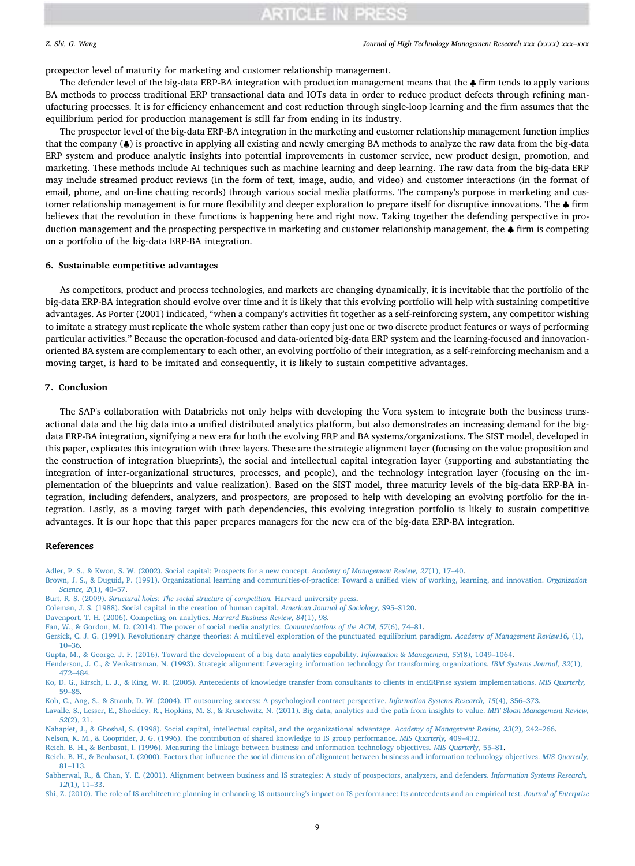prospector level of maturity for marketing and customer relationship management.

The defender level of the big-data ERP-BA integration with production management means that the ♣ firm tends to apply various BA methods to process traditional ERP transactional data and IOTs data in order to reduce product defects through refining manufacturing processes. It is for efficiency enhancement and cost reduction through single-loop learning and the firm assumes that the equilibrium period for production management is still far from ending in its industry.

The prospector level of the big-data ERP-BA integration in the marketing and customer relationship management function implies that the company (♣) is proactive in applying all existing and newly emerging BA methods to analyze the raw data from the big-data ERP system and produce analytic insights into potential improvements in customer service, new product design, promotion, and marketing. These methods include AI techniques such as machine learning and deep learning. The raw data from the big-data ERP may include streamed product reviews (in the form of text, image, audio, and video) and customer interactions (in the format of email, phone, and on-line chatting records) through various social media platforms. The company's purpose in marketing and customer relationship management is for more flexibility and deeper exploration to prepare itself for disruptive innovations. The  $\clubsuit$  firm believes that the revolution in these functions is happening here and right now. Taking together the defending perspective in production management and the prospecting perspective in marketing and customer relationship management, the ♣ firm is competing on a portfolio of the big-data ERP-BA integration.

## **6. Sustainable competitive advantages**

As competitors, product and process technologies, and markets are changing dynamically, it is inevitable that the portfolio of the big-data ERP-BA integration should evolve over time and it is likely that this evolving portfolio will help with sustaining competitive advantages. As Porter (2001) indicated, "when a company's activities fit together as a self-reinforcing system, any competitor wishing to imitate a strategy must replicate the whole system rather than copy just one or two discrete product features or ways of performing particular activities." Because the operation-focused and data-oriented big-data ERP system and the learning-focused and innovationoriented BA system are complementary to each other, an evolving portfolio of their integration, as a self-reinforcing mechanism and a moving target, is hard to be imitated and consequently, it is likely to sustain competitive advantages.

## **7. Conclusion**

The SAP's collaboration with Databricks not only helps with developing the Vora system to integrate both the business transactional data and the big data into a unified distributed analytics platform, but also demonstrates an increasing demand for the bigdata ERP-BA integration, signifying a new era for both the evolving ERP and BA systems/organizations. The SIST model, developed in this paper, explicates this integration with three layers. These are the strategic alignment layer (focusing on the value proposition and the construction of integration blueprints), the social and intellectual capital integration layer (supporting and substantiating the integration of inter-organizational structures, processes, and people), and the technology integration layer (focusing on the implementation of the blueprints and value realization). Based on the SIST model, three maturity levels of the big-data ERP-BA integration, including defenders, analyzers, and prospectors, are proposed to help with developing an evolving portfolio for the integration. Lastly, as a moving target with path dependencies, this evolving integration portfolio is likely to sustain competitive advantages. It is our hope that this paper prepares managers for the new era of the big-data ERP-BA integration.

#### **References**

<span id="page-8-13"></span>[Adler, P. S., & Kwon, S. W. \(2002\). Social capital: Prospects for a new concept.](http://refhub.elsevier.com/S1047-8310(18)30022-1/rf0005) *Academy of Management Review, 27*(1), 17–40.

<span id="page-8-11"></span>[Brown, J. S., & Duguid, P. \(1991\). Organizational learning and communities-of-practice: Toward a unified view of working, learning, and innovation.](http://refhub.elsevier.com/S1047-8310(18)30022-1/rf0010) *Organization Science, 2*[\(1\), 40–57.](http://refhub.elsevier.com/S1047-8310(18)30022-1/rf0010)

<span id="page-8-14"></span>Burt, R. S. (2009). *[Structural holes: The social structure of competition.](http://refhub.elsevier.com/S1047-8310(18)30022-1/rf0015)* Harvard university press.

- <span id="page-8-15"></span>[Coleman, J. S. \(1988\). Social capital in the creation of human capital.](http://refhub.elsevier.com/S1047-8310(18)30022-1/rf0020) *American Journal of Sociology,* S95–S120.
- <span id="page-8-3"></span>[Davenport, T. H. \(2006\). Competing on analytics.](http://refhub.elsevier.com/S1047-8310(18)30022-1/rf0025) *Harvard Business Review, 84*(1), 98.
- <span id="page-8-2"></span>[Fan, W., & Gordon, M. D. \(2014\). The power of social media analytics.](http://refhub.elsevier.com/S1047-8310(18)30022-1/rf0035) *Communications of the ACM, 57*(6), 74–81.

<span id="page-8-16"></span>[Gersick, C. J. G. \(1991\). Revolutionary change theories: A multilevel exploration of the punctuated equilibrium paradigm.](http://refhub.elsevier.com/S1047-8310(18)30022-1/rf0040) *Academy of Management Review16,* (1), [10–36](http://refhub.elsevier.com/S1047-8310(18)30022-1/rf0040).

<span id="page-8-0"></span>[Gupta, M., & George, J. F. \(2016\). Toward the development of a big data analytics capability.](http://refhub.elsevier.com/S1047-8310(18)30022-1/rf0045) *Information & Management, 53*(8), 1049–1064.

<span id="page-8-4"></span>[Henderson, J. C., & Venkatraman, N. \(1993\). Strategic alignment: Leveraging information technology for transforming organizations.](http://refhub.elsevier.com/S1047-8310(18)30022-1/rf0050) *IBM Systems Journal, 32*(1), [472–484.](http://refhub.elsevier.com/S1047-8310(18)30022-1/rf0050)

<span id="page-8-7"></span>[Ko, D. G., Kirsch, L. J., & King, W. R. \(2005\). Antecedents of knowledge transfer from consultants to clients in entERPrise system implementations.](http://refhub.elsevier.com/S1047-8310(18)30022-1/rf0055) *MIS Quarterly,* [59–85](http://refhub.elsevier.com/S1047-8310(18)30022-1/rf0055).

<span id="page-8-12"></span>[Koh, C., Ang, S., & Straub, D. W. \(2004\). IT outsourcing success: A psychological contract perspective.](http://refhub.elsevier.com/S1047-8310(18)30022-1/rf0060) *Information Systems Research, 15*(4), 356–373.

<span id="page-8-1"></span>[Lavalle, S., Lesser, E., Shockley, R., Hopkins, M. S., & Kruschwitz, N. \(2011\). Big data, analytics and the path from insights to value.](http://refhub.elsevier.com/S1047-8310(18)30022-1/rf0065) *MIT Sloan Management Review, 52*[\(2\), 21](http://refhub.elsevier.com/S1047-8310(18)30022-1/rf0065).

<span id="page-8-9"></span>[Nelson, K. M., & Cooprider, J. G. \(1996\). The contribution of shared knowledge to IS group performance.](http://refhub.elsevier.com/S1047-8310(18)30022-1/rf0085) *MIS Quarterly,* 409–432.

<span id="page-8-5"></span>[Reich, B. H., & Benbasat, I. \(1996\). Measuring the linkage between business and information technology objectives.](http://refhub.elsevier.com/S1047-8310(18)30022-1/rf0090) *MIS Quarterly,* 55–81.

<span id="page-8-10"></span>[Reich, B. H., & Benbasat, I. \(2000\). Factors that influence the social dimension of alignment between business and information technology objectives.](http://refhub.elsevier.com/S1047-8310(18)30022-1/rf0095) *MIS Quarterly,* [81–113](http://refhub.elsevier.com/S1047-8310(18)30022-1/rf0095).

<span id="page-8-17"></span>[Sabherwal, R., & Chan, Y. E. \(2001\). Alignment between business and IS strategies: A study of prospectors, analyzers, and defenders.](http://refhub.elsevier.com/S1047-8310(18)30022-1/rf0100) *Information Systems Research, 12*[\(1\), 11–33.](http://refhub.elsevier.com/S1047-8310(18)30022-1/rf0100)

<span id="page-8-6"></span>[Shi, Z. \(2010\). The role of IS architecture planning in enhancing IS outsourcing's impact on IS performance: Its antecedents and an empirical test.](http://refhub.elsevier.com/S1047-8310(18)30022-1/rf0105) *Journal of Enterprise*

<span id="page-8-8"></span>[Nahapiet, J., & Ghoshal, S. \(1998\). Social capital, intellectual capital, and the organizational advantage.](http://refhub.elsevier.com/S1047-8310(18)30022-1/rf0080) *Academy of Management Review, 23*(2), 242–266.